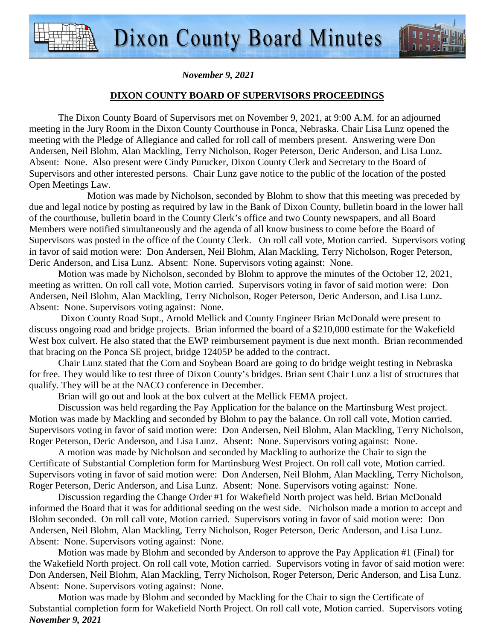

# **DIXON COUNTY BOARD OF SUPERVISORS PROCEEDINGS**

 The Dixon County Board of Supervisors met on November 9, 2021, at 9:00 A.M. for an adjourned meeting in the Jury Room in the Dixon County Courthouse in Ponca, Nebraska. Chair Lisa Lunz opened the meeting with the Pledge of Allegiance and called for roll call of members present. Answering were Don Andersen, Neil Blohm, Alan Mackling, Terry Nicholson, Roger Peterson, Deric Anderson, and Lisa Lunz. Absent: None. Also present were Cindy Purucker, Dixon County Clerk and Secretary to the Board of Supervisors and other interested persons. Chair Lunz gave notice to the public of the location of the posted Open Meetings Law.

Motion was made by Nicholson, seconded by Blohm to show that this meeting was preceded by due and legal notice by posting as required by law in the Bank of Dixon County, bulletin board in the lower hall of the courthouse, bulletin board in the County Clerk's office and two County newspapers, and all Board Members were notified simultaneously and the agenda of all know business to come before the Board of Supervisors was posted in the office of the County Clerk. On roll call vote, Motion carried. Supervisors voting in favor of said motion were: Don Andersen, Neil Blohm, Alan Mackling, Terry Nicholson, Roger Peterson, Deric Anderson, and Lisa Lunz. Absent: None. Supervisors voting against: None.

Motion was made by Nicholson, seconded by Blohm to approve the minutes of the October 12, 2021, meeting as written. On roll call vote, Motion carried. Supervisors voting in favor of said motion were: Don Andersen, Neil Blohm, Alan Mackling, Terry Nicholson, Roger Peterson, Deric Anderson, and Lisa Lunz. Absent: None. Supervisors voting against: None.

 Dixon County Road Supt., Arnold Mellick and County Engineer Brian McDonald were present to discuss ongoing road and bridge projects. Brian informed the board of a \$210,000 estimate for the Wakefield West box culvert. He also stated that the EWP reimbursement payment is due next month. Brian recommended that bracing on the Ponca SE project, bridge 12405P be added to the contract.

Chair Lunz stated that the Corn and Soybean Board are going to do bridge weight testing in Nebraska for free. They would like to test three of Dixon County's bridges. Brian sent Chair Lunz a list of structures that qualify. They will be at the NACO conference in December.

Brian will go out and look at the box culvert at the Mellick FEMA project.

Discussion was held regarding the Pay Application for the balance on the Martinsburg West project. Motion was made by Mackling and seconded by Blohm to pay the balance. On roll call vote, Motion carried. Supervisors voting in favor of said motion were: Don Andersen, Neil Blohm, Alan Mackling, Terry Nicholson, Roger Peterson, Deric Anderson, and Lisa Lunz. Absent: None. Supervisors voting against: None.

A motion was made by Nicholson and seconded by Mackling to authorize the Chair to sign the Certificate of Substantial Completion form for Martinsburg West Project. On roll call vote, Motion carried. Supervisors voting in favor of said motion were: Don Andersen, Neil Blohm, Alan Mackling, Terry Nicholson, Roger Peterson, Deric Anderson, and Lisa Lunz. Absent: None. Supervisors voting against: None.

Discussion regarding the Change Order #1 for Wakefield North project was held. Brian McDonald informed the Board that it was for additional seeding on the west side. Nicholson made a motion to accept and Blohm seconded. On roll call vote, Motion carried. Supervisors voting in favor of said motion were: Don Andersen, Neil Blohm, Alan Mackling, Terry Nicholson, Roger Peterson, Deric Anderson, and Lisa Lunz. Absent: None. Supervisors voting against: None.

Motion was made by Blohm and seconded by Anderson to approve the Pay Application #1 (Final) for the Wakefield North project. On roll call vote, Motion carried. Supervisors voting in favor of said motion were: Don Andersen, Neil Blohm, Alan Mackling, Terry Nicholson, Roger Peterson, Deric Anderson, and Lisa Lunz. Absent: None. Supervisors voting against: None.

*November 9, 2021* Motion was made by Blohm and seconded by Mackling for the Chair to sign the Certificate of Substantial completion form for Wakefield North Project. On roll call vote, Motion carried. Supervisors voting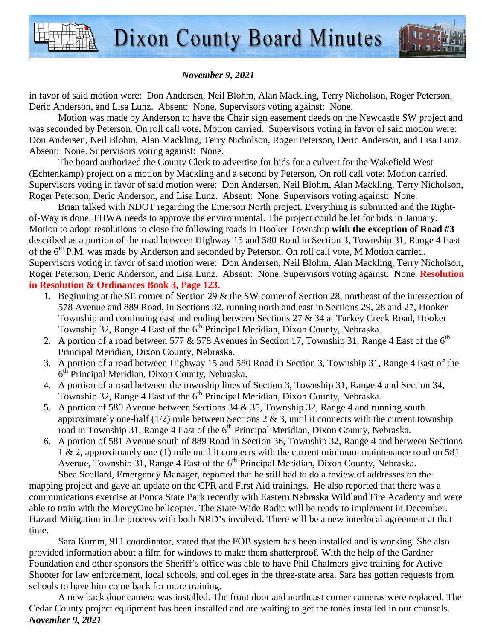

in favor of said motion were: Don Andersen, Neil Blohm, Alan Mackling, Terry Nicholson, Roger Peterson, Deric Anderson, and Lisa Lunz. Absent: None. Supervisors voting against: None.

Motion was made by Anderson to have the Chair sign easement deeds on the Newcastle SW project and was seconded by Peterson. On roll call vote, Motion carried. Supervisors voting in favor of said motion were: Don Andersen, Neil Blohm, Alan Mackling, Terry Nicholson, Roger Peterson, Deric Anderson, and Lisa Lunz. Absent: None. Supervisors voting against: None.

The board authorized the County Clerk to advertise for bids for a culvert for the Wakefield West (Echtenkamp) project on a motion by Mackling and a second by Peterson, On roll call vote: Motion carried. Supervisors voting in favor of said motion were: Don Andersen, Neil Blohm, Alan Mackling, Terry Nicholson, Roger Peterson, Deric Anderson, and Lisa Lunz. Absent: None. Supervisors voting against: None.

Brian talked with NDOT regarding the Emerson North project. Everything is submitted and the Rightof-Way is done. FHWA needs to approve the environmental. The project could be let for bids in January. Motion to adopt resolutions to close the following roads in Hooker Township **with the exception of Road #3** described as a portion of the road between Highway 15 and 580 Road in Section 3, Township 31, Range 4 East of the  $6<sup>th</sup>$  P.M. was made by Anderson and seconded by Peterson. On roll call vote, M Motion carried. Supervisors voting in favor of said motion were: Don Andersen, Neil Blohm, Alan Mackling, Terry Nicholson, Roger Peterson, Deric Anderson, and Lisa Lunz. Absent: None. Supervisors voting against: None. **Resolution in Resolution & Ordinances Book 3, Page 123.**

- 1. Beginning at the SE corner of Section 29 & the SW corner of Section 28, northeast of the intersection of 578 Avenue and 889 Road, in Sections 32, running north and east in Sections 29, 28 and 27, Hooker Township and continuing east and ending between Sections 27 & 34 at Turkey Creek Road, Hooker Township 32, Range 4 East of the  $6<sup>th</sup>$  Principal Meridian, Dixon County, Nebraska.
- 2. A portion of a road between 577  $&$  578 Avenues in Section 17, Township 31, Range 4 East of the  $6<sup>th</sup>$ Principal Meridian, Dixon County, Nebraska.
- 3. A portion of a road between Highway 15 and 580 Road in Section 3, Township 31, Range 4 East of the 6<sup>th</sup> Principal Meridian, Dixon County, Nebraska.
- 4. A portion of a road between the township lines of Section 3, Township 31, Range 4 and Section 34, Township 32, Range 4 East of the  $6<sup>th</sup>$  Principal Meridian, Dixon County, Nebraska.
- 5. A portion of 580 Avenue between Sections 34 & 35, Township 32, Range 4 and running south approximately one-half (1/2) mile between Sections 2  $\&$  3, until it connects with the current township road in Township 31, Range 4 East of the 6<sup>th</sup> Principal Meridian, Dixon County, Nebraska.
- 6. A portion of 581 Avenue south of 889 Road in Section 36, Township 32, Range 4 and between Sections 1 & 2, approximately one (1) mile until it connects with the current minimum maintenance road on 581 Avenue, Township 31, Range 4 East of the  $6<sup>th</sup>$  Principal Meridian, Dixon County, Nebraska. Shea Scollard, Emergency Manager, reported that he still had to do a review of addresses on the

mapping project and gave an update on the CPR and First Aid trainings. He also reported that there was a communications exercise at Ponca State Park recently with Eastern Nebraska Wildland Fire Academy and were able to train with the MercyOne helicopter. The State-Wide Radio will be ready to implement in December. Hazard Mitigation in the process with both NRD's involved. There will be a new interlocal agreement at that time.

Sara Kumm, 911 coordinator, stated that the FOB system has been installed and is working. She also provided information about a film for windows to make them shatterproof. With the help of the Gardner Foundation and other sponsors the Sheriff's office was able to have Phil Chalmers give training for Active Shooter for law enforcement, local schools, and colleges in the three-state area. Sara has gotten requests from schools to have him come back for more training.

*November 9, 2021* A new back door camera was installed. The front door and northeast corner cameras were replaced. The Cedar County project equipment has been installed and are waiting to get the tones installed in our counsels.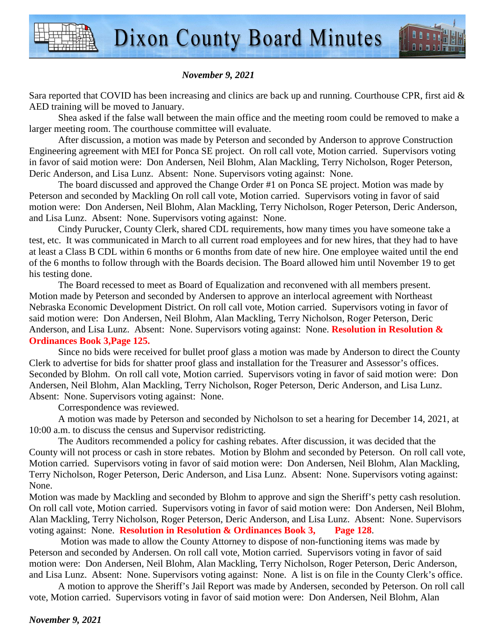

Sara reported that COVID has been increasing and clinics are back up and running. Courthouse CPR, first aid & AED training will be moved to January.

Shea asked if the false wall between the main office and the meeting room could be removed to make a larger meeting room. The courthouse committee will evaluate.

After discussion, a motion was made by Peterson and seconded by Anderson to approve Construction Engineering agreement with MEI for Ponca SE project. On roll call vote, Motion carried. Supervisors voting in favor of said motion were: Don Andersen, Neil Blohm, Alan Mackling, Terry Nicholson, Roger Peterson, Deric Anderson, and Lisa Lunz. Absent: None. Supervisors voting against: None.

The board discussed and approved the Change Order #1 on Ponca SE project. Motion was made by Peterson and seconded by Mackling On roll call vote, Motion carried. Supervisors voting in favor of said motion were: Don Andersen, Neil Blohm, Alan Mackling, Terry Nicholson, Roger Peterson, Deric Anderson, and Lisa Lunz. Absent: None. Supervisors voting against: None.

Cindy Purucker, County Clerk, shared CDL requirements, how many times you have someone take a test, etc. It was communicated in March to all current road employees and for new hires, that they had to have at least a Class B CDL within 6 months or 6 months from date of new hire. One employee waited until the end of the 6 months to follow through with the Boards decision. The Board allowed him until November 19 to get his testing done.

The Board recessed to meet as Board of Equalization and reconvened with all members present. Motion made by Peterson and seconded by Andersen to approve an interlocal agreement with Northeast Nebraska Economic Development District. On roll call vote, Motion carried. Supervisors voting in favor of said motion were: Don Andersen, Neil Blohm, Alan Mackling, Terry Nicholson, Roger Peterson, Deric Anderson, and Lisa Lunz. Absent: None. Supervisors voting against: None. **Resolution in Resolution & Ordinances Book 3,Page 125.**

Since no bids were received for bullet proof glass a motion was made by Anderson to direct the County Clerk to advertise for bids for shatter proof glass and installation for the Treasurer and Assessor's offices. Seconded by Blohm. On roll call vote, Motion carried. Supervisors voting in favor of said motion were: Don Andersen, Neil Blohm, Alan Mackling, Terry Nicholson, Roger Peterson, Deric Anderson, and Lisa Lunz. Absent: None. Supervisors voting against: None.

Correspondence was reviewed.

A motion was made by Peterson and seconded by Nicholson to set a hearing for December 14, 2021, at 10:00 a.m. to discuss the census and Supervisor redistricting.

The Auditors recommended a policy for cashing rebates. After discussion, it was decided that the County will not process or cash in store rebates. Motion by Blohm and seconded by Peterson. On roll call vote, Motion carried. Supervisors voting in favor of said motion were: Don Andersen, Neil Blohm, Alan Mackling, Terry Nicholson, Roger Peterson, Deric Anderson, and Lisa Lunz. Absent: None. Supervisors voting against: None.

Motion was made by Mackling and seconded by Blohm to approve and sign the Sheriff's petty cash resolution. On roll call vote, Motion carried. Supervisors voting in favor of said motion were: Don Andersen, Neil Blohm, Alan Mackling, Terry Nicholson, Roger Peterson, Deric Anderson, and Lisa Lunz. Absent: None. Supervisors voting against: None. **Resolution in Resolution & Ordinances Book 3, Page 128**.

 Motion was made to allow the County Attorney to dispose of non-functioning items was made by Peterson and seconded by Andersen. On roll call vote, Motion carried. Supervisors voting in favor of said motion were: Don Andersen, Neil Blohm, Alan Mackling, Terry Nicholson, Roger Peterson, Deric Anderson, and Lisa Lunz. Absent: None. Supervisors voting against: None. A list is on file in the County Clerk's office.

A motion to approve the Sheriff's Jail Report was made by Andersen, seconded by Peterson. On roll call vote, Motion carried. Supervisors voting in favor of said motion were: Don Andersen, Neil Blohm, Alan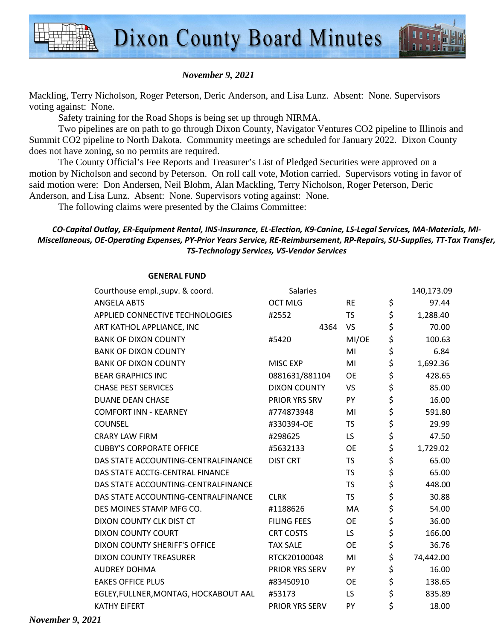

Mackling, Terry Nicholson, Roger Peterson, Deric Anderson, and Lisa Lunz. Absent: None. Supervisors voting against: None.

Safety training for the Road Shops is being set up through NIRMA.

Two pipelines are on path to go through Dixon County, Navigator Ventures CO2 pipeline to Illinois and Summit CO2 pipeline to North Dakota. Community meetings are scheduled for January 2022. Dixon County does not have zoning, so no permits are required.

The County Official's Fee Reports and Treasurer's List of Pledged Securities were approved on a motion by Nicholson and second by Peterson. On roll call vote, Motion carried. Supervisors voting in favor of said motion were: Don Andersen, Neil Blohm, Alan Mackling, Terry Nicholson, Roger Peterson, Deric Anderson, and Lisa Lunz. Absent: None. Supervisors voting against: None.

The following claims were presented by the Claims Committee:

### *CO-Capital Outlay, ER-Equipment Rental, INS-Insurance, EL-Election, K9-Canine, LS-Legal Services, MA-Materials, MI-Miscellaneous, OE-Operating Expenses, PY-Prior Years Service, RE-Reimbursement, RP-Repairs, SU-Supplies, TT-Tax Transfer, TS-Technology Services, VS-Vendor Services*

| Courthouse empl., supv. & coord.      | Salaries            |           | 140,173.09      |
|---------------------------------------|---------------------|-----------|-----------------|
| <b>ANGELA ABTS</b>                    | <b>OCT MLG</b>      | <b>RE</b> | \$<br>97.44     |
| APPLIED CONNECTIVE TECHNOLOGIES       | #2552               | <b>TS</b> | \$<br>1,288.40  |
| ART KATHOL APPLIANCE, INC             | 4364                | VS        | \$<br>70.00     |
| <b>BANK OF DIXON COUNTY</b>           | #5420               | MI/OE     | \$<br>100.63    |
| <b>BANK OF DIXON COUNTY</b>           |                     | MI        | \$<br>6.84      |
| <b>BANK OF DIXON COUNTY</b>           | <b>MISC EXP</b>     | MI        | \$<br>1,692.36  |
| <b>BEAR GRAPHICS INC</b>              | 0881631/881104      | <b>OE</b> | \$<br>428.65    |
| <b>CHASE PEST SERVICES</b>            | <b>DIXON COUNTY</b> | <b>VS</b> | \$<br>85.00     |
| <b>DUANE DEAN CHASE</b>               | PRIOR YRS SRV       | PY        | \$<br>16.00     |
| <b>COMFORT INN - KEARNEY</b>          | #774873948          | MI        | \$<br>591.80    |
| <b>COUNSEL</b>                        | #330394-OE          | TS        | \$<br>29.99     |
| <b>CRARY LAW FIRM</b>                 | #298625             | LS.       | \$<br>47.50     |
| <b>CUBBY'S CORPORATE OFFICE</b>       | #5632133            | <b>OE</b> | \$<br>1,729.02  |
| DAS STATE ACCOUNTING-CENTRALFINANCE   | <b>DIST CRT</b>     | <b>TS</b> | \$<br>65.00     |
| DAS STATE ACCTG-CENTRAL FINANCE       |                     | <b>TS</b> | \$<br>65.00     |
| DAS STATE ACCOUNTING-CENTRALFINANCE   |                     | <b>TS</b> | \$<br>448.00    |
| DAS STATE ACCOUNTING-CENTRALFINANCE   | <b>CLRK</b>         | <b>TS</b> | \$<br>30.88     |
| DES MOINES STAMP MFG CO.              | #1188626            | MA        | \$<br>54.00     |
| DIXON COUNTY CLK DIST CT              | <b>FILING FEES</b>  | <b>OE</b> | \$<br>36.00     |
| <b>DIXON COUNTY COURT</b>             | <b>CRT COSTS</b>    | LS.       | \$<br>166.00    |
| DIXON COUNTY SHERIFF'S OFFICE         | <b>TAX SALE</b>     | OE        | \$<br>36.76     |
| <b>DIXON COUNTY TREASURER</b>         | RTCK20100048        | MI        | \$<br>74,442.00 |
| <b>AUDREY DOHMA</b>                   | PRIOR YRS SERV      | <b>PY</b> | \$<br>16.00     |
| <b>EAKES OFFICE PLUS</b>              | #83450910           | <b>OE</b> | \$<br>138.65    |
| EGLEY, FULLNER, MONTAG, HOCKABOUT AAL | #53173              | LS.       | \$<br>835.89    |
| <b>KATHY EIFERT</b>                   | PRIOR YRS SERV      | PY        | \$<br>18.00     |
|                                       |                     |           |                 |

#### **GENERAL FUND**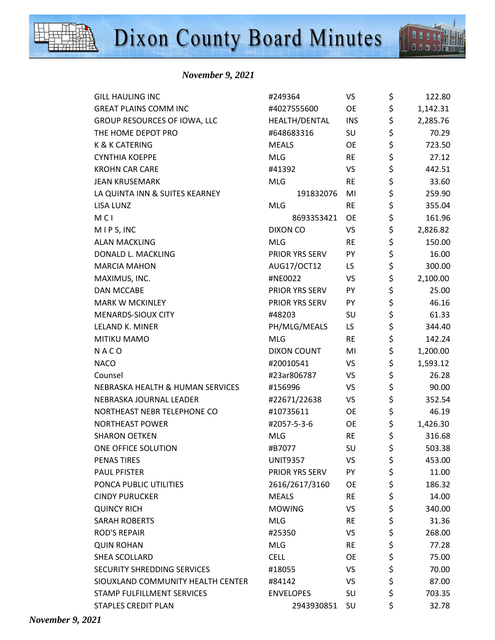

 *November 9, 2021* 

| <b>GILL HAULING INC</b>           | #249364            | VS         | \$<br>122.80   |
|-----------------------------------|--------------------|------------|----------------|
| <b>GREAT PLAINS COMM INC</b>      | #4027555600        |            | \$<br>1,142.31 |
| GROUP RESOURCES OF IOWA, LLC      | HEALTH/DENTAL      | <b>INS</b> | \$<br>2,285.76 |
| THE HOME DEPOT PRO                | #648683316         | SU         | \$<br>70.29    |
| <b>K &amp; K CATERING</b>         | <b>MEALS</b>       | <b>OE</b>  | \$<br>723.50   |
| <b>CYNTHIA KOEPPE</b>             | <b>MLG</b>         | <b>RE</b>  | \$<br>27.12    |
| <b>KROHN CAR CARE</b>             | #41392             | <b>VS</b>  | \$<br>442.51   |
| <b>JEAN KRUSEMARK</b>             | <b>MLG</b>         | <b>RE</b>  | \$<br>33.60    |
| LA QUINTA INN & SUITES KEARNEY    | 191832076          | MI         | \$<br>259.90   |
| <b>LISA LUNZ</b>                  | <b>MLG</b>         | <b>RE</b>  | \$<br>355.04   |
| <b>MCI</b>                        | 8693353421         | <b>OE</b>  | \$<br>161.96   |
| MIPS, INC                         | <b>DIXON CO</b>    | VS         | \$<br>2,826.82 |
| <b>ALAN MACKLING</b>              | <b>MLG</b>         | <b>RE</b>  | \$<br>150.00   |
| DONALD L. MACKLING                | PRIOR YRS SERV     | PY         | \$<br>16.00    |
| <b>MARCIA MAHON</b>               | AUG17/OCT12        | LS         | \$<br>300.00   |
| MAXIMUS, INC.                     | #NE0022            | <b>VS</b>  | \$<br>2,100.00 |
| <b>DAN MCCABE</b>                 | PRIOR YRS SERV     | PY         | \$<br>25.00    |
| <b>MARK W MCKINLEY</b>            | PRIOR YRS SERV     | PY         | \$<br>46.16    |
| MENARDS-SIOUX CITY                | #48203             | SU         | \$<br>61.33    |
| LELAND K. MINER                   | PH/MLG/MEALS       | LS         | \$<br>344.40   |
| MITIKU MAMO                       | <b>MLG</b>         | <b>RE</b>  | \$<br>142.24   |
| NACO                              | <b>DIXON COUNT</b> | MI         | \$<br>1,200.00 |
| <b>NACO</b>                       | #20010541          | <b>VS</b>  | \$<br>1,593.12 |
| Counsel                           | #23ar806787        | <b>VS</b>  | \$<br>26.28    |
| NEBRASKA HEALTH & HUMAN SERVICES  | #156996            | <b>VS</b>  | \$<br>90.00    |
| NEBRASKA JOURNAL LEADER           | #22671/22638       | <b>VS</b>  | \$<br>352.54   |
| NORTHEAST NEBR TELEPHONE CO       | #10735611          | <b>OE</b>  | \$<br>46.19    |
| <b>NORTHEAST POWER</b>            | #2057-5-3-6        | <b>OE</b>  | \$<br>1,426.30 |
| <b>SHARON OETKEN</b>              | <b>MLG</b>         | <b>RE</b>  | \$<br>316.68   |
| ONE OFFICE SOLUTION               | #B7077             | SU         | \$<br>503.38   |
| <b>PENAS TIRES</b>                | <b>UNIT9357</b>    | VS         | \$<br>453.00   |
| <b>PAUL PFISTER</b>               | PRIOR YRS SERV     | PY         | \$<br>11.00    |
| PONCA PUBLIC UTILITIES            | 2616/2617/3160     | <b>OE</b>  | \$<br>186.32   |
| <b>CINDY PURUCKER</b>             | <b>MEALS</b>       | <b>RE</b>  | \$<br>14.00    |
| <b>QUINCY RICH</b>                | <b>MOWING</b>      | <b>VS</b>  | \$<br>340.00   |
| <b>SARAH ROBERTS</b>              | <b>MLG</b>         | <b>RE</b>  | \$<br>31.36    |
| <b>ROD'S REPAIR</b>               | #25350             | <b>VS</b>  | \$<br>268.00   |
| <b>QUIN ROHAN</b>                 | <b>MLG</b>         | <b>RE</b>  | \$<br>77.28    |
| SHEA SCOLLARD                     | <b>CELL</b>        | OE         | \$<br>75.00    |
| SECURITY SHREDDING SERVICES       | #18055             | VS         | \$<br>70.00    |
| SIOUXLAND COMMUNITY HEALTH CENTER | #84142             | <b>VS</b>  | \$<br>87.00    |
| STAMP FULFILLMENT SERVICES        | <b>ENVELOPES</b>   | SU         | \$<br>703.35   |
| <b>STAPLES CREDIT PLAN</b>        | 2943930851         | <b>SU</b>  | \$<br>32.78    |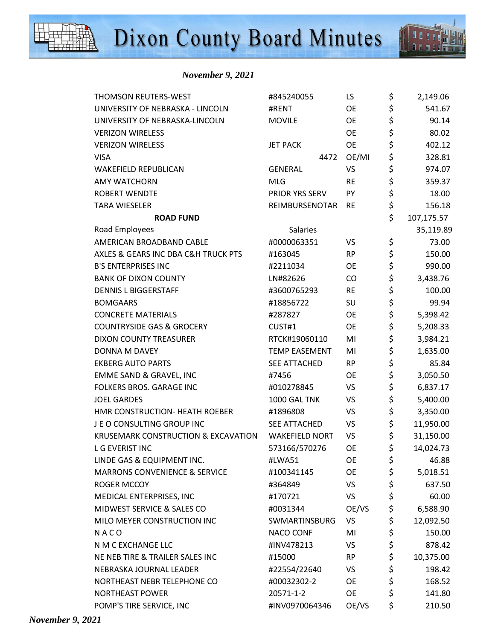

 *November 9, 2021* 

| <b>THOMSON REUTERS-WEST</b>              | #845240055            | LS        | \$<br>2,149.06   |
|------------------------------------------|-----------------------|-----------|------------------|
| UNIVERSITY OF NEBRASKA - LINCOLN         | #RENT                 | <b>OE</b> | \$<br>541.67     |
| UNIVERSITY OF NEBRASKA-LINCOLN           | <b>MOVILE</b>         | <b>OE</b> | \$<br>90.14      |
| <b>VERIZON WIRELESS</b>                  |                       | <b>OE</b> | \$<br>80.02      |
| <b>VERIZON WIRELESS</b>                  | <b>JET PACK</b>       | <b>OE</b> | \$<br>402.12     |
| <b>VISA</b>                              | 4472                  | OE/MI     | \$<br>328.81     |
| <b>WAKEFIELD REPUBLICAN</b>              | <b>GENERAL</b>        | VS        | \$<br>974.07     |
| <b>AMY WATCHORN</b>                      | <b>MLG</b>            | <b>RE</b> | \$<br>359.37     |
| <b>ROBERT WENDTE</b>                     | PRIOR YRS SERV        | PY        | \$<br>18.00      |
| <b>TARA WIESELER</b>                     | REIMBURSENOTAR        | <b>RE</b> | \$<br>156.18     |
| <b>ROAD FUND</b>                         |                       |           | \$<br>107,175.57 |
| Road Employees                           | Salaries              |           | 35,119.89        |
| AMERICAN BROADBAND CABLE                 | #0000063351           | VS        | \$<br>73.00      |
| AXLES & GEARS INC DBA C&H TRUCK PTS      | #163045               | <b>RP</b> | \$<br>150.00     |
| <b>B'S ENTERPRISES INC</b>               | #2211034              | <b>OE</b> | \$<br>990.00     |
| <b>BANK OF DIXON COUNTY</b>              | LN#82626              | CO        | \$<br>3,438.76   |
| <b>DENNIS L BIGGERSTAFF</b>              | #3600765293           | <b>RE</b> | \$<br>100.00     |
| <b>BOMGAARS</b>                          | #18856722             | SU        | \$<br>99.94      |
| <b>CONCRETE MATERIALS</b>                | #287827               | <b>OE</b> | \$<br>5,398.42   |
| <b>COUNTRYSIDE GAS &amp; GROCERY</b>     | CUST#1                | <b>OE</b> | \$<br>5,208.33   |
| <b>DIXON COUNTY TREASURER</b>            | RTCK#19060110         | MI        | \$<br>3,984.21   |
| DONNA M DAVEY                            | <b>TEMP EASEMENT</b>  | MI        | \$<br>1,635.00   |
| <b>EKBERG AUTO PARTS</b>                 | SEE ATTACHED          | <b>RP</b> | \$<br>85.84      |
| EMME SAND & GRAVEL, INC                  | #7456                 | <b>OE</b> | \$<br>3,050.50   |
| FOLKERS BROS. GARAGE INC                 | #010278845            | VS        | \$<br>6,837.17   |
| <b>JOEL GARDES</b>                       | 1000 GAL TNK          | VS        | \$<br>5,400.00   |
| HMR CONSTRUCTION- HEATH ROEBER           | #1896808              | VS        | \$<br>3,350.00   |
| JEO CONSULTING GROUP INC                 | <b>SEE ATTACHED</b>   | VS        | \$<br>11,950.00  |
| KRUSEMARK CONSTRUCTION & EXCAVATION      | <b>WAKEFIELD NORT</b> | VS        | \$<br>31,150.00  |
| <b>LG EVERIST INC</b>                    | 573166/570276         | OE        | \$<br>14,024.73  |
| LINDE GAS & EQUIPMENT INC.               | #LWA51                | OE        | \$<br>46.88      |
| <b>MARRONS CONVENIENCE &amp; SERVICE</b> | #100341145            | OE        | \$<br>5,018.51   |
| ROGER MCCOY                              | #364849               | VS        | \$<br>637.50     |
| MEDICAL ENTERPRISES, INC                 | #170721               | VS        | \$<br>60.00      |
| MIDWEST SERVICE & SALES CO               | #0031344              | OE/VS     | \$<br>6,588.90   |
| MILO MEYER CONSTRUCTION INC              | SWMARTINSBURG         | VS        | \$<br>12,092.50  |
| NACO                                     | <b>NACO CONF</b>      | MI        | \$<br>150.00     |
| N M C EXCHANGE LLC                       | #INV478213            | VS        | \$<br>878.42     |
| NE NEB TIRE & TRAILER SALES INC          | #15000                | RP        | \$<br>10,375.00  |
| NEBRASKA JOURNAL LEADER                  | #22554/22640          | VS        | \$<br>198.42     |
| NORTHEAST NEBR TELEPHONE CO              | #00032302-2           | OE.       | \$<br>168.52     |
| <b>NORTHEAST POWER</b>                   | 20571-1-2             | <b>OE</b> | \$<br>141.80     |
| POMP'S TIRE SERVICE, INC                 | #INV0970064346        | OE/VS     | \$<br>210.50     |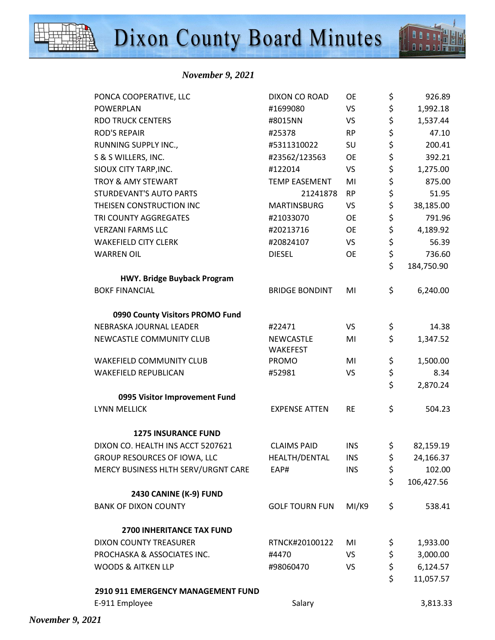

| PONCA COOPERATIVE, LLC              | DIXON CO ROAD                | OE         | \$  | 926.89     |
|-------------------------------------|------------------------------|------------|-----|------------|
| <b>POWERPLAN</b>                    | #1699080                     | <b>VS</b>  | \$  | 1,992.18   |
| <b>RDO TRUCK CENTERS</b>            | #8015NN                      | <b>VS</b>  | \$  | 1,537.44   |
| <b>ROD'S REPAIR</b>                 | #25378                       | <b>RP</b>  | \$  | 47.10      |
| RUNNING SUPPLY INC.,                | #5311310022                  | SU         | \$  | 200.41     |
| S & S WILLERS, INC.                 | #23562/123563                | OE         | \$  | 392.21     |
| SIOUX CITY TARP, INC.               | #122014                      | <b>VS</b>  | \$  | 1,275.00   |
| TROY & AMY STEWART                  | <b>TEMP EASEMENT</b>         | MI         | \$  | 875.00     |
| STURDEVANT'S AUTO PARTS             | 21241878                     | <b>RP</b>  | \$  | 51.95      |
| THEISEN CONSTRUCTION INC            | <b>MARTINSBURG</b>           | <b>VS</b>  | \$  | 38,185.00  |
| TRI COUNTY AGGREGATES               | #21033070                    | <b>OE</b>  | \$  | 791.96     |
| <b>VERZANI FARMS LLC</b>            | #20213716                    | <b>OE</b>  | \$  | 4,189.92   |
| <b>WAKEFIELD CITY CLERK</b>         | #20824107                    | <b>VS</b>  | \$  | 56.39      |
| <b>WARREN OIL</b>                   | <b>DIESEL</b>                | <b>OE</b>  | \$  | 736.60     |
|                                     |                              |            | \$  | 184,750.90 |
| <b>HWY. Bridge Buyback Program</b>  |                              |            |     |            |
| <b>BOKF FINANCIAL</b>               | <b>BRIDGE BONDINT</b>        | MI         | \$  | 6,240.00   |
| 0990 County Visitors PROMO Fund     |                              |            |     |            |
| NEBRASKA JOURNAL LEADER             | #22471                       | <b>VS</b>  | \$  | 14.38      |
| NEWCASTLE COMMUNITY CLUB            | NEWCASTLE<br><b>WAKEFEST</b> | MI         | \$  | 1,347.52   |
| <b>WAKEFIELD COMMUNITY CLUB</b>     | PROMO                        | MI         | \$  | 1,500.00   |
| <b>WAKEFIELD REPUBLICAN</b>         | #52981                       | <b>VS</b>  | \$  | 8.34       |
|                                     |                              |            | \$  | 2,870.24   |
| 0995 Visitor Improvement Fund       |                              |            |     |            |
| <b>LYNN MELLICK</b>                 | <b>EXPENSE ATTEN</b>         | <b>RE</b>  | \$  | 504.23     |
| <b>1275 INSURANCE FUND</b>          |                              |            |     |            |
| DIXON CO. HEALTH INS ACCT 5207621   | <b>CLAIMS PAID</b>           | <b>INS</b> | \$  | 82,159.19  |
| GROUP RESOURCES OF IOWA, LLC        | HEALTH/DENTAL                | <b>INS</b> | \$  | 24,166.37  |
| MERCY BUSINESS HLTH SERV/URGNT CARE | EAP#                         | <b>INS</b> | \$  | 102.00     |
|                                     |                              |            | \$  | 106,427.56 |
| 2430 CANINE (K-9) FUND              |                              |            |     |            |
| <b>BANK OF DIXON COUNTY</b>         | <b>GOLF TOURN FUN</b>        | MI/K9      | \$  | 538.41     |
| <b>2700 INHERITANCE TAX FUND</b>    |                              |            |     |            |
| DIXON COUNTY TREASURER              | RTNCK#20100122               | MI         | \$, | 1,933.00   |
| PROCHASKA & ASSOCIATES INC.         | #4470                        | <b>VS</b>  | \$  | 3,000.00   |
| <b>WOODS &amp; AITKEN LLP</b>       | #98060470                    | <b>VS</b>  | \$  | 6,124.57   |
|                                     |                              |            | \$  | 11,057.57  |
| 2910 911 EMERGENCY MANAGEMENT FUND  |                              |            |     |            |
| E-911 Employee                      | Salary                       |            |     | 3,813.33   |
|                                     |                              |            |     |            |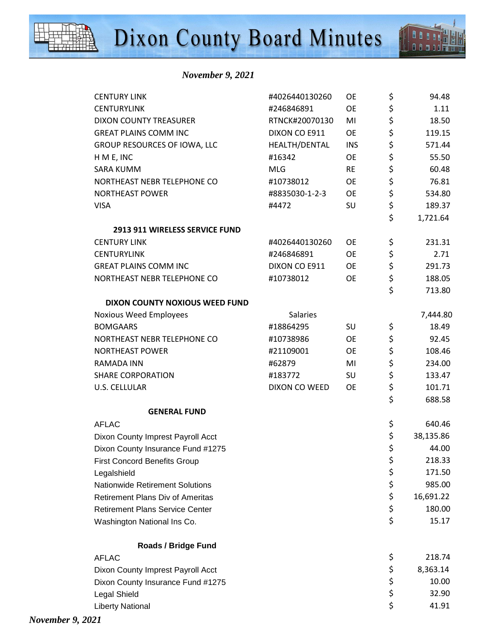

 *November 9, 2021* 

| <b>CENTURY LINK</b>                     | #4026440130260  | <b>OE</b>  | \$<br>94.48     |
|-----------------------------------------|-----------------|------------|-----------------|
| <b>CENTURYLINK</b>                      | #246846891      | <b>OE</b>  | \$<br>1.11      |
| <b>DIXON COUNTY TREASURER</b>           | RTNCK#20070130  | MI         | \$<br>18.50     |
| <b>GREAT PLAINS COMM INC</b>            | DIXON CO E911   | <b>OE</b>  | \$<br>119.15    |
| GROUP RESOURCES OF IOWA, LLC            | HEALTH/DENTAL   | <b>INS</b> | \$<br>571.44    |
| H M E, INC                              | #16342          | <b>OE</b>  | \$<br>55.50     |
| <b>SARA KUMM</b>                        | <b>MLG</b>      | <b>RE</b>  | \$<br>60.48     |
| NORTHEAST NEBR TELEPHONE CO             | #10738012       | <b>OE</b>  | \$<br>76.81     |
| <b>NORTHEAST POWER</b>                  | #8835030-1-2-3  | OE         | \$<br>534.80    |
| <b>VISA</b>                             | #4472           | SU         | \$<br>189.37    |
|                                         |                 |            | \$<br>1,721.64  |
| 2913 911 WIRELESS SERVICE FUND          |                 |            |                 |
| <b>CENTURY LINK</b>                     | #4026440130260  | OE         | \$<br>231.31    |
| <b>CENTURYLINK</b>                      | #246846891      | OE         | \$<br>2.71      |
| <b>GREAT PLAINS COMM INC</b>            | DIXON CO E911   | OE         | \$<br>291.73    |
| NORTHEAST NEBR TELEPHONE CO             | #10738012       | <b>OE</b>  | \$<br>188.05    |
|                                         |                 |            | \$<br>713.80    |
| DIXON COUNTY NOXIOUS WEED FUND          |                 |            |                 |
| <b>Noxious Weed Employees</b>           | <b>Salaries</b> |            | 7,444.80        |
| <b>BOMGAARS</b>                         | #18864295       | SU         | \$<br>18.49     |
| NORTHEAST NEBR TELEPHONE CO             | #10738986       | OE         | \$<br>92.45     |
| <b>NORTHEAST POWER</b>                  | #21109001       | OE         | \$<br>108.46    |
| <b>RAMADA INN</b>                       | #62879          | MI         | \$<br>234.00    |
| <b>SHARE CORPORATION</b>                | #183772         | SU         | \$<br>133.47    |
| <b>U.S. CELLULAR</b>                    | DIXON CO WEED   | <b>OE</b>  | \$<br>101.71    |
|                                         |                 |            | \$<br>688.58    |
| <b>GENERAL FUND</b>                     |                 |            |                 |
| <b>AFLAC</b>                            |                 |            | \$<br>640.46    |
| Dixon County Imprest Payroll Acct       |                 |            | \$<br>38,135.86 |
| Dixon County Insurance Fund #1275       |                 |            | \$<br>44.00     |
| <b>First Concord Benefits Group</b>     |                 |            | \$<br>218.33    |
| Legalshield                             |                 |            | \$<br>171.50    |
| <b>Nationwide Retirement Solutions</b>  |                 |            | \$<br>985.00    |
| <b>Retirement Plans Div of Ameritas</b> |                 |            | \$<br>16,691.22 |
| <b>Retirement Plans Service Center</b>  |                 |            | \$<br>180.00    |
| Washington National Ins Co.             |                 |            | \$<br>15.17     |
| <b>Roads / Bridge Fund</b>              |                 |            |                 |
| <b>AFLAC</b>                            |                 |            | \$<br>218.74    |
| Dixon County Imprest Payroll Acct       |                 |            | \$<br>8,363.14  |
| Dixon County Insurance Fund #1275       |                 |            | \$<br>10.00     |
| Legal Shield                            |                 |            | \$<br>32.90     |
| <b>Liberty National</b>                 |                 |            | \$<br>41.91     |
|                                         |                 |            |                 |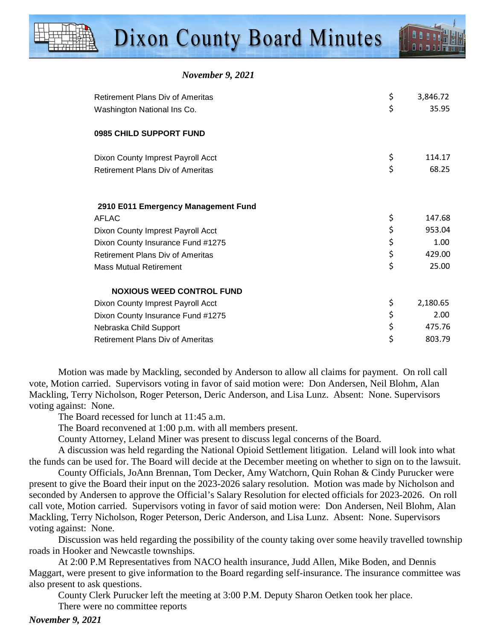| <b>November 9, 2021</b> |
|-------------------------|
|                         |

| <b>Retirement Plans Div of Ameritas</b> | \$<br>3,846.72 |
|-----------------------------------------|----------------|
| Washington National Ins Co.             | \$<br>35.95    |
|                                         |                |
| 0985 CHILD SUPPORT FUND                 |                |
| Dixon County Imprest Payroll Acct       | \$<br>114.17   |
| <b>Retirement Plans Div of Ameritas</b> | \$<br>68.25    |
|                                         |                |
|                                         |                |
| 2910 E011 Emergency Management Fund     |                |
| <b>AFLAC</b>                            | \$<br>147.68   |
| Dixon County Imprest Payroll Acct       | \$<br>953.04   |
| Dixon County Insurance Fund #1275       | \$<br>1.00     |
| <b>Retirement Plans Div of Ameritas</b> | \$<br>429.00   |
| <b>Mass Mutual Retirement</b>           | \$<br>25.00    |
| <b>NOXIOUS WEED CONTROL FUND</b>        |                |
|                                         | \$<br>2,180.65 |
| Dixon County Imprest Payroll Acct       |                |
| Dixon County Insurance Fund #1275       | \$<br>2.00     |
| Nebraska Child Support                  | \$<br>475.76   |
| <b>Retirement Plans Div of Ameritas</b> | \$<br>803.79   |

Motion was made by Mackling, seconded by Anderson to allow all claims for payment. On roll call vote, Motion carried. Supervisors voting in favor of said motion were: Don Andersen, Neil Blohm, Alan Mackling, Terry Nicholson, Roger Peterson, Deric Anderson, and Lisa Lunz. Absent: None. Supervisors voting against: None.

The Board recessed for lunch at 11:45 a.m.

The Board reconvened at 1:00 p.m. with all members present.

County Attorney, Leland Miner was present to discuss legal concerns of the Board.

A discussion was held regarding the National Opioid Settlement litigation. Leland will look into what the funds can be used for. The Board will decide at the December meeting on whether to sign on to the lawsuit.

County Officials, JoAnn Brennan, Tom Decker, Amy Watchorn, Quin Rohan & Cindy Purucker were present to give the Board their input on the 2023-2026 salary resolution. Motion was made by Nicholson and seconded by Andersen to approve the Official's Salary Resolution for elected officials for 2023-2026. On roll call vote, Motion carried. Supervisors voting in favor of said motion were: Don Andersen, Neil Blohm, Alan Mackling, Terry Nicholson, Roger Peterson, Deric Anderson, and Lisa Lunz. Absent: None. Supervisors voting against: None.

Discussion was held regarding the possibility of the county taking over some heavily travelled township roads in Hooker and Newcastle townships.

At 2:00 P.M Representatives from NACO health insurance, Judd Allen, Mike Boden, and Dennis Maggart, were present to give information to the Board regarding self-insurance. The insurance committee was also present to ask questions.

County Clerk Purucker left the meeting at 3:00 P.M. Deputy Sharon Oetken took her place.

There were no committee reports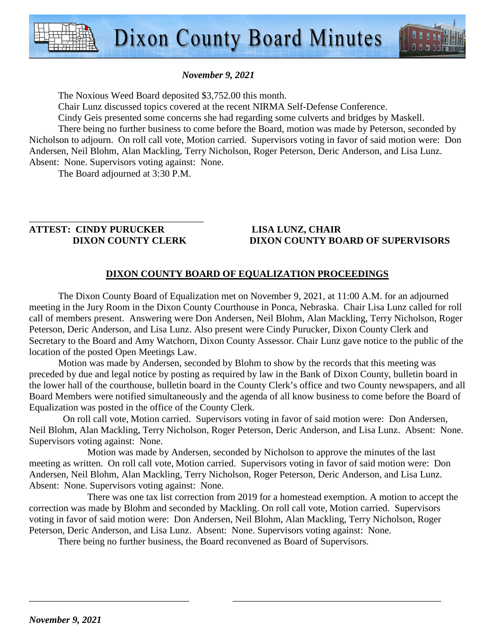



The Noxious Weed Board deposited \$3,752.00 this month.

Chair Lunz discussed topics covered at the recent NIRMA Self-Defense Conference.

Cindy Geis presented some concerns she had regarding some culverts and bridges by Maskell. There being no further business to come before the Board, motion was made by Peterson, seconded by Nicholson to adjourn. On roll call vote, Motion carried. Supervisors voting in favor of said motion were: Don Andersen, Neil Blohm, Alan Mackling, Terry Nicholson, Roger Peterson, Deric Anderson, and Lisa Lunz. Absent: None. Supervisors voting against: None.

The Board adjourned at 3:30 P.M.

# \_\_\_\_\_\_\_\_\_\_\_\_\_\_\_\_\_\_\_\_\_\_\_\_\_\_\_\_\_\_\_\_\_\_\_\_ **ATTEST: CINDY PURUCKER LISA LUNZ, CHAIR**

# **DIXON COUNTY CLERK DIXON COUNTY BOARD OF SUPERVISORS**

# **DIXON COUNTY BOARD OF EQUALIZATION PROCEEDINGS**

 The Dixon County Board of Equalization met on November 9, 2021, at 11:00 A.M. for an adjourned meeting in the Jury Room in the Dixon County Courthouse in Ponca, Nebraska. Chair Lisa Lunz called for roll call of members present. Answering were Don Andersen, Neil Blohm, Alan Mackling, Terry Nicholson, Roger Peterson, Deric Anderson, and Lisa Lunz. Also present were Cindy Purucker, Dixon County Clerk and Secretary to the Board and Amy Watchorn, Dixon County Assessor. Chair Lunz gave notice to the public of the location of the posted Open Meetings Law.

Motion was made by Andersen, seconded by Blohm to show by the records that this meeting was preceded by due and legal notice by posting as required by law in the Bank of Dixon County, bulletin board in the lower hall of the courthouse, bulletin board in the County Clerk's office and two County newspapers, and all Board Members were notified simultaneously and the agenda of all know business to come before the Board of Equalization was posted in the office of the County Clerk.

 On roll call vote, Motion carried. Supervisors voting in favor of said motion were: Don Andersen, Neil Blohm, Alan Mackling, Terry Nicholson, Roger Peterson, Deric Anderson, and Lisa Lunz. Absent: None. Supervisors voting against: None.

Motion was made by Andersen, seconded by Nicholson to approve the minutes of the last meeting as written. On roll call vote, Motion carried. Supervisors voting in favor of said motion were: Don Andersen, Neil Blohm, Alan Mackling, Terry Nicholson, Roger Peterson, Deric Anderson, and Lisa Lunz. Absent: None. Supervisors voting against: None.

There was one tax list correction from 2019 for a homestead exemption. A motion to accept the correction was made by Blohm and seconded by Mackling. On roll call vote, Motion carried. Supervisors voting in favor of said motion were: Don Andersen, Neil Blohm, Alan Mackling, Terry Nicholson, Roger Peterson, Deric Anderson, and Lisa Lunz. Absent: None. Supervisors voting against: None.

\_\_\_\_\_\_\_\_\_\_\_\_\_\_\_\_\_\_\_\_\_\_\_\_\_\_\_\_\_\_\_\_\_ \_\_\_\_\_\_\_\_\_\_\_\_\_\_\_\_\_\_\_\_\_\_\_\_\_\_\_\_\_\_\_\_\_\_\_\_\_\_\_\_\_\_\_

There being no further business, the Board reconvened as Board of Supervisors.